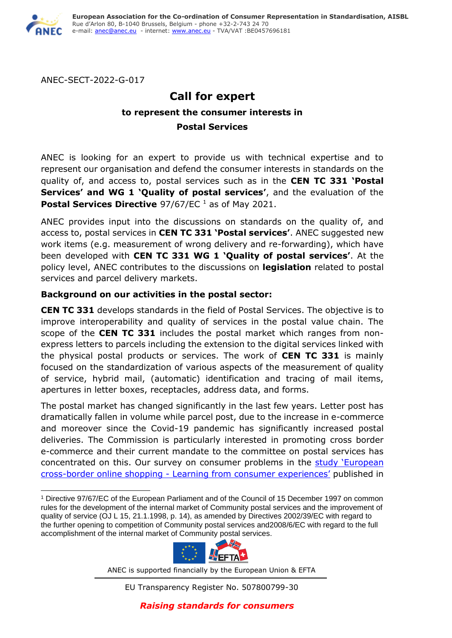

ANEC-SECT-2022-G-017

# **Call for expert to represent the consumer interests in Postal Services**

ANEC is looking for an expert to provide us with technical expertise and to represent our organisation and defend the consumer interests in standards on the quality of, and access to, postal services such as in the **CEN TC 331 'Postal Services' and WG 1 'Quality of postal services'**, and the evaluation of the **Postal Services Directive** 97/67/EC<sup>1</sup> as of May 2021.

ANEC provides input into the discussions on standards on the quality of, and access to, postal services in **CEN TC 331 'Postal services'**. ANEC suggested new work items (e.g. measurement of wrong delivery and re-forwarding), which have been developed with **CEN TC 331 WG 1 'Quality of postal services'**. At the policy level, ANEC contributes to the discussions on **legislation** related to postal services and parcel delivery markets.

# **Background on our activities in the postal sector:**

**CEN TC 331** develops standards in the field of Postal Services. The objective is to improve interoperability and quality of services in the postal value chain. The scope of the **CEN TC 331** includes the postal market which ranges from nonexpress letters to parcels including the extension to the digital services linked with the physical postal products or services. The work of **CEN TC 331** is mainly focused on the standardization of various aspects of the measurement of quality of service, hybrid mail, (automatic) identification and tracing of mail items, apertures in letter boxes, receptacles, address data, and forms.

The postal market has changed significantly in the last few years. Letter post has dramatically fallen in volume while parcel post, due to the increase in e-commerce and moreover since the Covid-19 pandemic has significantly increased postal deliveries. The Commission is particularly interested in promoting cross border e-commerce and their current mandate to the committee on postal services has concentrated on this. Our survey on consumer problems in the study 'European cross-border online shopping - [Learning from consumer experiences'](https://anec.eu/images/Publications/technical-studies/ANEC-RT-2015-SERV-005.pdf) published in

<sup>1</sup> Directive 97/67/EC of the European Parliament and of the Council of 15 December 1997 on common rules for the development of the internal market of Community postal services and the improvement of quality of service (OJ L 15, 21.1.1998, p. 14), as amended by Directives 2002/39/EC with regard to the further opening to competition of Community postal services and2008/6/EC with regard to the full accomplishment of the internal market of Community postal services.



ANEC is supported financially by the European Union & EFTA

EU Transparency Register No. 507800799-30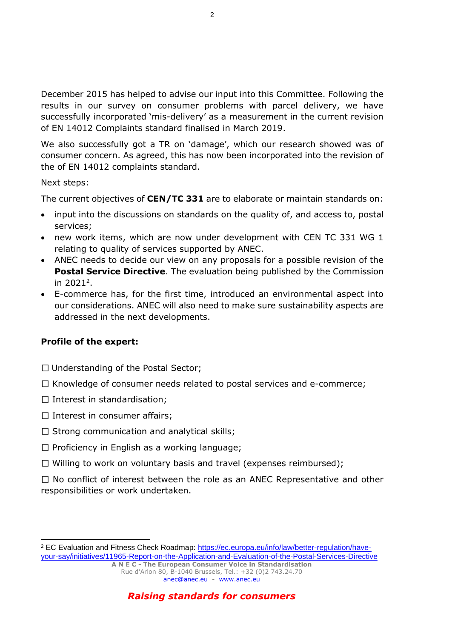December 2015 has helped to advise our input into this Committee. Following the results in our survey on consumer problems with parcel delivery, we have successfully incorporated 'mis-delivery' as a measurement in the current revision of EN 14012 Complaints standard finalised in March 2019.

We also successfully got a TR on 'damage', which our research showed was of consumer concern. As agreed, this has now been incorporated into the revision of the of EN 14012 complaints standard.

### Next steps:

The current objectives of **CEN/TC 331** are to elaborate or maintain standards on:

- input into the discussions on standards on the quality of, and access to, postal services;
- new work items, which are now under development with CEN TC 331 WG 1 relating to quality of services supported by ANEC.
- ANEC needs to decide our view on any proposals for a possible revision of the **Postal Service Directive**. The evaluation being published by the Commission in 2021<sup>2</sup>.
- E-commerce has, for the first time, introduced an environmental aspect into our considerations. ANEC will also need to make sure sustainability aspects are addressed in the next developments.

# **Profile of the expert:**

- $\Box$  Understanding of the Postal Sector;
- $\Box$  Knowledge of consumer needs related to postal services and e-commerce;
- $\Box$  Interest in standardisation;
- $\Box$  Interest in consumer affairs;
- $\Box$  Strong communication and analytical skills;
- $\Box$  Proficiency in English as a working language;
- $\Box$  Willing to work on voluntary basis and travel (expenses reimbursed);

 $\Box$  No conflict of interest between the role as an ANEC Representative and other responsibilities or work undertaken.

*Raising standards for consumers*

<sup>&</sup>lt;sup>2</sup> EC Evaluation and Fitness Check Roadmap: [https://ec.europa.eu/info/law/better-regulation/have](https://ec.europa.eu/info/law/better-regulation/have-your-say/initiatives/11965-Report-on-the-Application-and-Evaluation-of-the-Postal-Services-Directive)[your-say/initiatives/11965-Report-on-the-Application-and-Evaluation-of-the-Postal-Services-Directive](https://ec.europa.eu/info/law/better-regulation/have-your-say/initiatives/11965-Report-on-the-Application-and-Evaluation-of-the-Postal-Services-Directive)